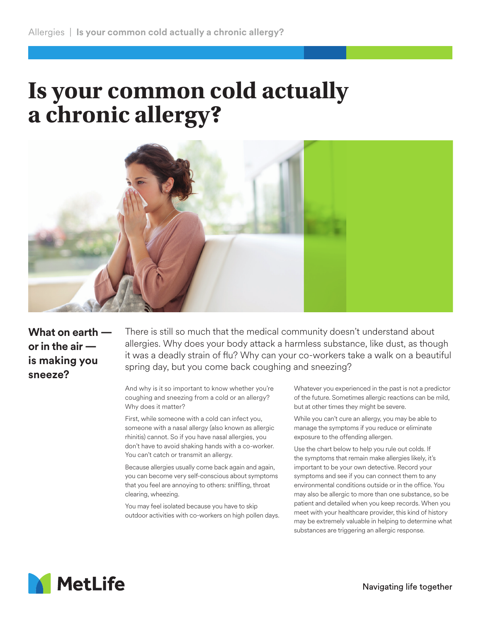## **Is your common cold actually a chronic allergy?**



**What on earth or in the air is making you sneeze?**

There is still so much that the medical community doesn't understand about allergies. Why does your body attack a harmless substance, like dust, as though it was a deadly strain of flu? Why can your co-workers take a walk on a beautiful spring day, but you come back coughing and sneezing?

And why is it so important to know whether you're coughing and sneezing from a cold or an allergy? Why does it matter?

First, while someone with a cold can infect you, someone with a nasal allergy (also known as allergic rhinitis) cannot. So if you have nasal allergies, you don't have to avoid shaking hands with a co-worker. You can't catch or transmit an allergy.

Because allergies usually come back again and again, you can become very self-conscious about symptoms that you feel are annoying to others: sniffling, throat clearing, wheezing.

You may feel isolated because you have to skip outdoor activities with co-workers on high pollen days. Whatever you experienced in the past is not a predictor of the future. Sometimes allergic reactions can be mild, but at other times they might be severe.

While you can't cure an allergy, you may be able to manage the symptoms if you reduce or eliminate exposure to the offending allergen.

Use the chart below to help you rule out colds. If the symptoms that remain make allergies likely, it's important to be your own detective. Record your symptoms and see if you can connect them to any environmental conditions outside or in the office. You may also be allergic to more than one substance, so be patient and detailed when you keep records. When you meet with your healthcare provider, this kind of history may be extremely valuable in helping to determine what substances are triggering an allergic response.